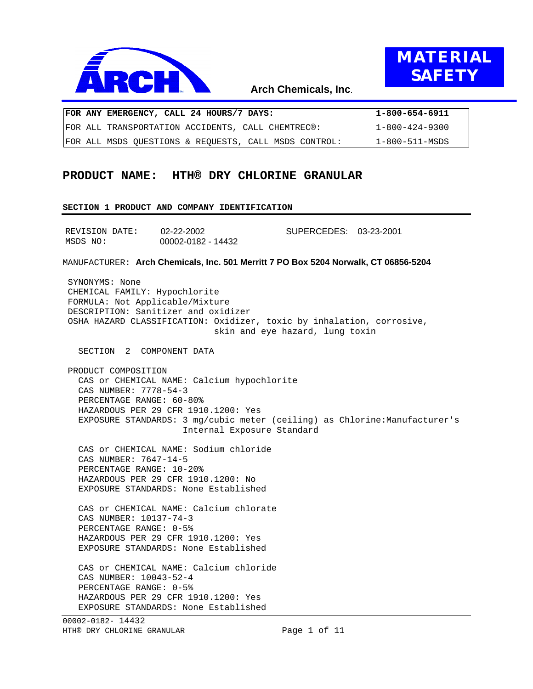



**DATA**

## **Arch Chemicals, Inc**.

|  | FOR ANY EMERGENCY, CALL 24 HOURS/7 DAYS:              | 1-800-654-6911 |
|--|-------------------------------------------------------|----------------|
|  | FOR ALL TRANSPORTATION ACCIDENTS, CALL CHEMTREC®:     | 1-800-424-9300 |
|  | FOR ALL MSDS OUESTIONS & REOUESTS, CALL MSDS CONTROL: | 1-800-511-MSDS |

# **PRODUCT NAME: HTH® DRY CHLORINE GRANULAR**

#### **SECTION 1 PRODUCT AND COMPANY IDENTIFICATION**

| REVISION DATE: | 02-22-2002         | SUPERCEDES: 03-23-2001 |  |
|----------------|--------------------|------------------------|--|
| MSDS NO:       | 00002-0182 - 14432 |                        |  |

MANUFACTURER: **Arch Chemicals, Inc. 501 Merritt 7 PO Box 5204 Norwalk, CT 06856-5204**

 SYNONYMS: None CHEMICAL FAMILY: Hypochlorite FORMULA: Not Applicable/Mixture DESCRIPTION: Sanitizer and oxidizer OSHA HAZARD CLASSIFICATION: Oxidizer, toxic by inhalation, corrosive, skin and eye hazard, lung toxin SECTION 2 COMPONENT DATA PRODUCT COMPOSITION

 CAS or CHEMICAL NAME: Calcium hypochlorite CAS NUMBER: 7778-54-3 PERCENTAGE RANGE: 60-80% HAZARDOUS PER 29 CFR 1910.1200: Yes EXPOSURE STANDARDS: 3 mg/cubic meter (ceiling) as Chlorine:Manufacturer's Internal Exposure Standard

 CAS or CHEMICAL NAME: Sodium chloride CAS NUMBER: 7647-14-5 PERCENTAGE RANGE: 10-20% HAZARDOUS PER 29 CFR 1910.1200: No EXPOSURE STANDARDS: None Established

 CAS or CHEMICAL NAME: Calcium chlorate CAS NUMBER: 10137-74-3 PERCENTAGE RANGE: 0-5% HAZARDOUS PER 29 CFR 1910.1200: Yes EXPOSURE STANDARDS: None Established

 CAS or CHEMICAL NAME: Calcium chloride CAS NUMBER: 10043-52-4 PERCENTAGE RANGE: 0-5% HAZARDOUS PER 29 CFR 1910.1200: Yes EXPOSURE STANDARDS: None Established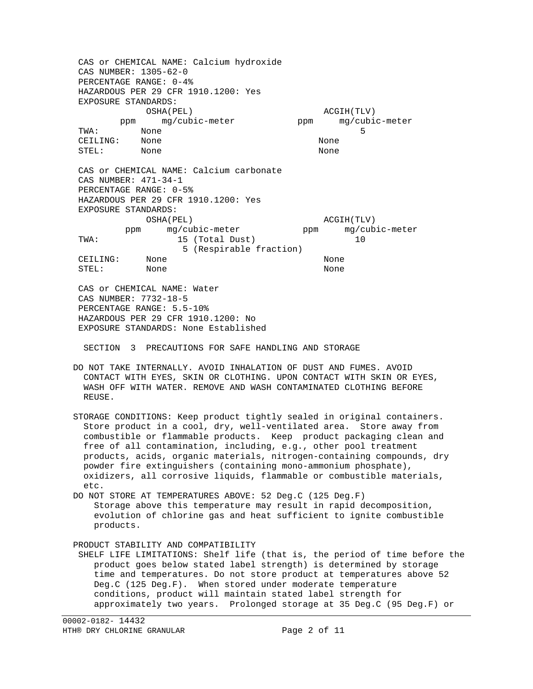CAS or CHEMICAL NAME: Calcium hydroxide CAS NUMBER: 1305-62-0 PERCENTAGE RANGE: 0-4% HAZARDOUS PER 29 CFR 1910.1200: Yes EXPOSURE STANDARDS: OSHA(PEL) ACGIH(TLV) ppm mg/cubic-meter ppm mg/cubic-meter TWA: None 5 CEILING: None None STEL: None None CAS or CHEMICAL NAME: Calcium carbonate CAS NUMBER: 471-34-1 PERCENTAGE RANGE: 0-5% HAZARDOUS PER 29 CFR 1910.1200: Yes EXPOSURE STANDARDS: OSHA(PEL) ACGIH(TLV) ppm mg/cubic-meter ppm mg/cubic-meter TWA: 15 (Total Dust) 10 5 (Respirable fraction) CEILING: None None STEL: None None CAS or CHEMICAL NAME: Water CAS NUMBER: 7732-18-5 PERCENTAGE RANGE: 5.5-10% HAZARDOUS PER 29 CFR 1910.1200: No EXPOSURE STANDARDS: None Established SECTION 3 PRECAUTIONS FOR SAFE HANDLING AND STORAGE DO NOT TAKE INTERNALLY. AVOID INHALATION OF DUST AND FUMES. AVOID CONTACT WITH EYES, SKIN OR CLOTHING. UPON CONTACT WITH SKIN OR EYES, WASH OFF WITH WATER. REMOVE AND WASH CONTAMINATED CLOTHING BEFORE REUSE. STORAGE CONDITIONS: Keep product tightly sealed in original containers. Store product in a cool, dry, well-ventilated area. Store away from combustible or flammable products. Keep product packaging clean and free of all contamination, including, e.g., other pool treatment products, acids, organic materials, nitrogen-containing compounds, dry powder fire extinguishers (containing mono-ammonium phosphate), oxidizers, all corrosive liquids, flammable or combustible materials, etc. DO NOT STORE AT TEMPERATURES ABOVE: 52 Deg.C (125 Deg.F) Storage above this temperature may result in rapid decomposition, evolution of chlorine gas and heat sufficient to ignite combustible products. PRODUCT STABILITY AND COMPATIBILITY SHELF LIFE LIMITATIONS: Shelf life (that is, the period of time before the product goes below stated label strength) is determined by storage time and temperatures. Do not store product at temperatures above 52 Deg.C (125 Deg.F). When stored under moderate temperature conditions, product will maintain stated label strength for approximately two years. Prolonged storage at 35 Deg.C (95 Deg.F) or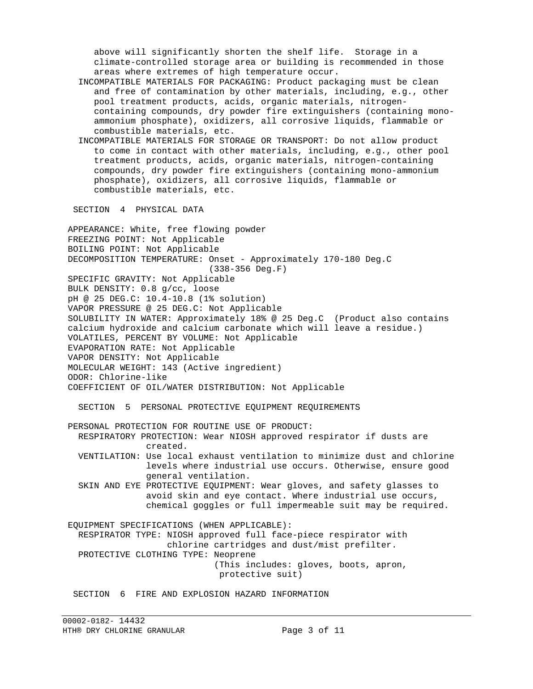above will significantly shorten the shelf life. Storage in a climate-controlled storage area or building is recommended in those areas where extremes of high temperature occur.

- INCOMPATIBLE MATERIALS FOR PACKAGING: Product packaging must be clean and free of contamination by other materials, including, e.g., other pool treatment products, acids, organic materials, nitrogen containing compounds, dry powder fire extinguishers (containing mono ammonium phosphate), oxidizers, all corrosive liquids, flammable or combustible materials, etc.
- INCOMPATIBLE MATERIALS FOR STORAGE OR TRANSPORT: Do not allow product to come in contact with other materials, including, e.g., other pool treatment products, acids, organic materials, nitrogen-containing compounds, dry powder fire extinguishers (containing mono-ammonium phosphate), oxidizers, all corrosive liquids, flammable or combustible materials, etc.

SECTION 4 PHYSICAL DATA

 APPEARANCE: White, free flowing powder FREEZING POINT: Not Applicable BOILING POINT: Not Applicable DECOMPOSITION TEMPERATURE: Onset - Approximately 170-180 Deg.C (338-356 Deg.F) SPECIFIC GRAVITY: Not Applicable BULK DENSITY: 0.8 g/cc, loose pH @ 25 DEG.C: 10.4-10.8 (1% solution) VAPOR PRESSURE @ 25 DEG.C: Not Applicable SOLUBILITY IN WATER: Approximately 18% @ 25 Deg.C (Product also contains calcium hydroxide and calcium carbonate which will leave a residue.) VOLATILES, PERCENT BY VOLUME: Not Applicable EVAPORATION RATE: Not Applicable VAPOR DENSITY: Not Applicable MOLECULAR WEIGHT: 143 (Active ingredient) ODOR: Chlorine-like COEFFICIENT OF OIL/WATER DISTRIBUTION: Not Applicable SECTION 5 PERSONAL PROTECTIVE EQUIPMENT REQUIREMENTS PERSONAL PROTECTION FOR ROUTINE USE OF PRODUCT: RESPIRATORY PROTECTION: Wear NIOSH approved respirator if dusts are created. VENTILATION: Use local exhaust ventilation to minimize dust and chlorine levels where industrial use occurs. Otherwise, ensure good general ventilation. SKIN AND EYE PROTECTIVE EQUIPMENT: Wear gloves, and safety glasses to avoid skin and eye contact. Where industrial use occurs, chemical goggles or full impermeable suit may be required. EQUIPMENT SPECIFICATIONS (WHEN APPLICABLE): RESPIRATOR TYPE: NIOSH approved full face-piece respirator with chlorine cartridges and dust/mist prefilter. PROTECTIVE CLOTHING TYPE: Neoprene (This includes: gloves, boots, apron, protective suit)

SECTION 6 FIRE AND EXPLOSION HAZARD INFORMATION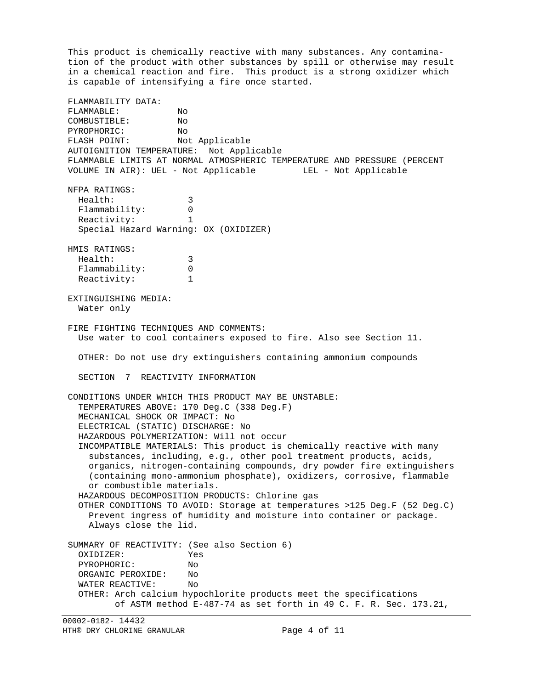This product is chemically reactive with many substances. Any contamina tion of the product with other substances by spill or otherwise may result in a chemical reaction and fire. This product is a strong oxidizer which is capable of intensifying a fire once started. FLAMMABILITY DATA: FLAMMABLE: No COMBUSTIBLE: No PYROPHORIC: No FLASH POINT: Not Applicable AUTOIGNITION TEMPERATURE: Not Applicable FLAMMABLE LIMITS AT NORMAL ATMOSPHERIC TEMPERATURE AND PRESSURE (PERCENT VOLUME IN AIR): UEL - Not Applicable LEL - Not Applicable NFPA RATINGS: Health: 3 Flammability: 0 Reactivity: 1 Special Hazard Warning: OX (OXIDIZER) HMIS RATINGS: Health: 3 Flammability: 0 Reactivity: 1 EXTINGUISHING MEDIA: Water only FIRE FIGHTING TECHNIQUES AND COMMENTS: Use water to cool containers exposed to fire. Also see Section 11. OTHER: Do not use dry extinguishers containing ammonium compounds SECTION 7 REACTIVITY INFORMATION CONDITIONS UNDER WHICH THIS PRODUCT MAY BE UNSTABLE: TEMPERATURES ABOVE: 170 Deg.C (338 Deg.F) MECHANICAL SHOCK OR IMPACT: No ELECTRICAL (STATIC) DISCHARGE: No HAZARDOUS POLYMERIZATION: Will not occur INCOMPATIBLE MATERIALS: This product is chemically reactive with many substances, including, e.g., other pool treatment products, acids, organics, nitrogen-containing compounds, dry powder fire extinguishers (containing mono-ammonium phosphate), oxidizers, corrosive, flammable or combustible materials. HAZARDOUS DECOMPOSITION PRODUCTS: Chlorine gas OTHER CONDITIONS TO AVOID: Storage at temperatures >125 Deg.F (52 Deg.C) Prevent ingress of humidity and moisture into container or package. Always close the lid. SUMMARY OF REACTIVITY: (See also Section 6) OXIDIZER: Yes PYROPHORIC: No<br>ORGANIC PEROXIDE: No ORGANIC PEROXIDE: WATER REACTIVE: No OTHER: Arch calcium hypochlorite products meet the specifications of ASTM method E-487-74 as set forth in 49 C. F. R. Sec. 173.21,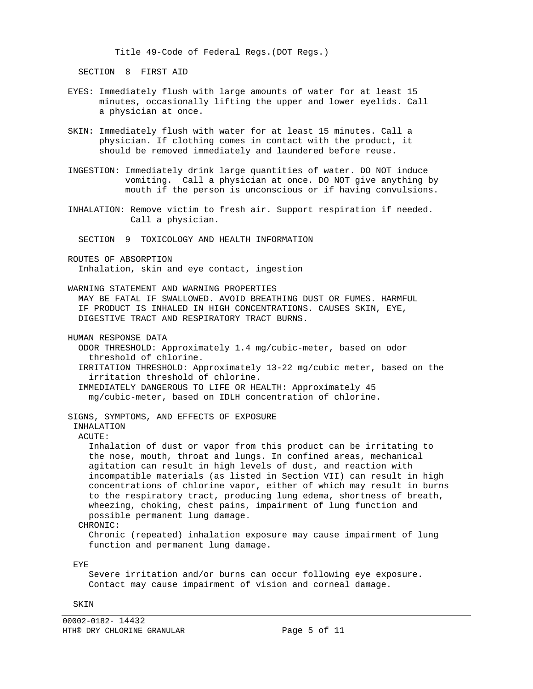Title 49-Code of Federal Regs.(DOT Regs.)

SECTION 8 FIRST AID

- EYES: Immediately flush with large amounts of water for at least 15 minutes, occasionally lifting the upper and lower eyelids. Call a physician at once.
- SKIN: Immediately flush with water for at least 15 minutes. Call a physician. If clothing comes in contact with the product, it should be removed immediately and laundered before reuse.
- INGESTION: Immediately drink large quantities of water. DO NOT induce vomiting. Call a physician at once. DO NOT give anything by mouth if the person is unconscious or if having convulsions.
- INHALATION: Remove victim to fresh air. Support respiration if needed. Call a physician.

SECTION 9 TOXICOLOGY AND HEALTH INFORMATION

 ROUTES OF ABSORPTION Inhalation, skin and eye contact, ingestion

WARNING STATEMENT AND WARNING PROPERTIES

 MAY BE FATAL IF SWALLOWED. AVOID BREATHING DUST OR FUMES. HARMFUL IF PRODUCT IS INHALED IN HIGH CONCENTRATIONS. CAUSES SKIN, EYE, DIGESTIVE TRACT AND RESPIRATORY TRACT BURNS.

HUMAN RESPONSE DATA

 ODOR THRESHOLD: Approximately 1.4 mg/cubic-meter, based on odor threshold of chlorine.

 IRRITATION THRESHOLD: Approximately 13-22 mg/cubic meter, based on the irritation threshold of chlorine.

 IMMEDIATELY DANGEROUS TO LIFE OR HEALTH: Approximately 45 mg/cubic-meter, based on IDLH concentration of chlorine.

SIGNS, SYMPTOMS, AND EFFECTS OF EXPOSURE

 INHALATION ACUTE:

 Inhalation of dust or vapor from this product can be irritating to the nose, mouth, throat and lungs. In confined areas, mechanical agitation can result in high levels of dust, and reaction with incompatible materials (as listed in Section VII) can result in high concentrations of chlorine vapor, either of which may result in burns to the respiratory tract, producing lung edema, shortness of breath, wheezing, choking, chest pains, impairment of lung function and possible permanent lung damage.

### CHRONIC:

 Chronic (repeated) inhalation exposure may cause impairment of lung function and permanent lung damage.

EYE

 Severe irritation and/or burns can occur following eye exposure. Contact may cause impairment of vision and corneal damage.

SKIN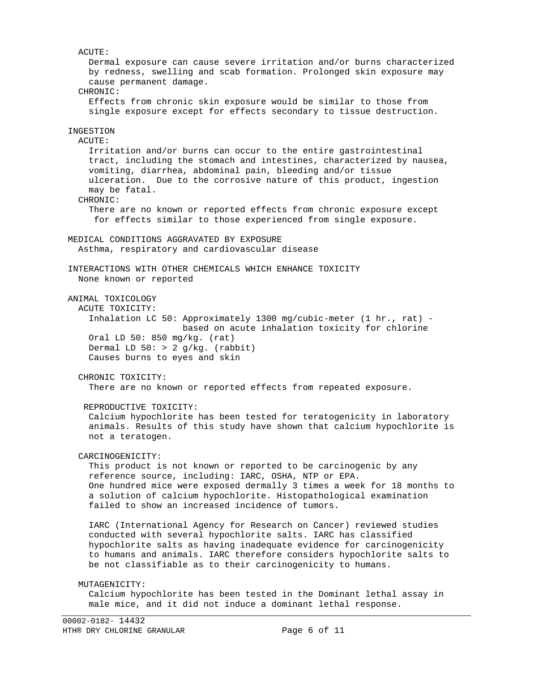ACUTE: Dermal exposure can cause severe irritation and/or burns characterized by redness, swelling and scab formation. Prolonged skin exposure may cause permanent damage. CHRONIC: Effects from chronic skin exposure would be similar to those from single exposure except for effects secondary to tissue destruction. INGESTION ACUTE: Irritation and/or burns can occur to the entire gastrointestinal tract, including the stomach and intestines, characterized by nausea, vomiting, diarrhea, abdominal pain, bleeding and/or tissue ulceration. Due to the corrosive nature of this product, ingestion may be fatal. CHRONIC: There are no known or reported effects from chronic exposure except for effects similar to those experienced from single exposure. MEDICAL CONDITIONS AGGRAVATED BY EXPOSURE Asthma, respiratory and cardiovascular disease INTERACTIONS WITH OTHER CHEMICALS WHICH ENHANCE TOXICITY None known or reported ANIMAL TOXICOLOGY ACUTE TOXICITY: Inhalation LC 50: Approximately 1300 mg/cubic-meter (1 hr., rat) based on acute inhalation toxicity for chlorine Oral LD 50: 850 mg/kg. (rat) Dermal LD  $50:$  > 2 g/kg. (rabbit) Causes burns to eyes and skin CHRONIC TOXICITY: There are no known or reported effects from repeated exposure. REPRODUCTIVE TOXICITY: Calcium hypochlorite has been tested for teratogenicity in laboratory animals. Results of this study have shown that calcium hypochlorite is not a teratogen. CARCINOGENICITY: This product is not known or reported to be carcinogenic by any reference source, including: IARC, OSHA, NTP or EPA. One hundred mice were exposed dermally 3 times a week for 18 months to a solution of calcium hypochlorite. Histopathological examination failed to show an increased incidence of tumors. IARC (International Agency for Research on Cancer) reviewed studies conducted with several hypochlorite salts. IARC has classified hypochlorite salts as having inadequate evidence for carcinogenicity to humans and animals. IARC therefore considers hypochlorite salts to be not classifiable as to their carcinogenicity to humans. MUTAGENICITY: Calcium hypochlorite has been tested in the Dominant lethal assay in male mice, and it did not induce a dominant lethal response.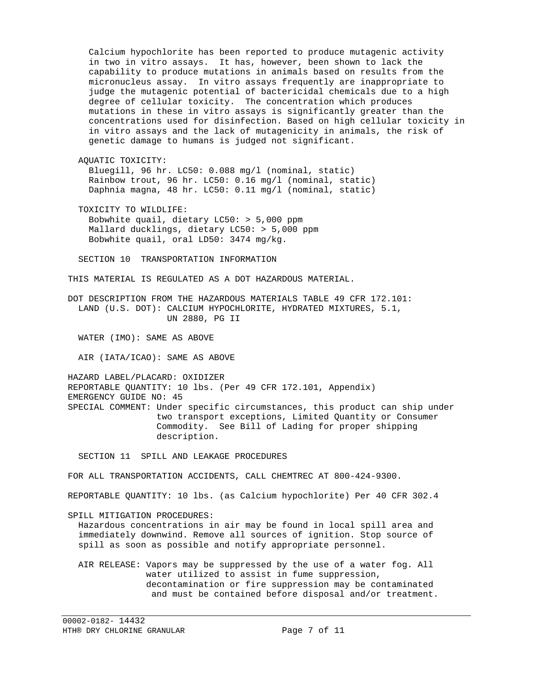Calcium hypochlorite has been reported to produce mutagenic activity in two in vitro assays. It has, however, been shown to lack the capability to produce mutations in animals based on results from the micronucleus assay. In vitro assays frequently are inappropriate to judge the mutagenic potential of bactericidal chemicals due to a high degree of cellular toxicity. The concentration which produces mutations in these in vitro assays is significantly greater than the concentrations used for disinfection. Based on high cellular toxicity in in vitro assays and the lack of mutagenicity in animals, the risk of genetic damage to humans is judged not significant. AQUATIC TOXICITY: Bluegill, 96 hr. LC50: 0.088 mg/l (nominal, static) Rainbow trout, 96 hr. LC50: 0.16 mg/l (nominal, static) Daphnia magna, 48 hr. LC50: 0.11 mg/l (nominal, static) TOXICITY TO WILDLIFE: Bobwhite quail, dietary LC50: > 5,000 ppm Mallard ducklings, dietary LC50: > 5,000 ppm Bobwhite quail, oral LD50: 3474 mg/kg. SECTION 10 TRANSPORTATION INFORMATION THIS MATERIAL IS REGULATED AS A DOT HAZARDOUS MATERIAL. DOT DESCRIPTION FROM THE HAZARDOUS MATERIALS TABLE 49 CFR 172.101: LAND (U.S. DOT): CALCIUM HYPOCHLORITE, HYDRATED MIXTURES, 5.1, UN 2880, PG II WATER (IMO): SAME AS ABOVE AIR (IATA/ICAO): SAME AS ABOVE HAZARD LABEL/PLACARD: OXIDIZER REPORTABLE QUANTITY: 10 lbs. (Per 49 CFR 172.101, Appendix) EMERGENCY GUIDE NO: 45 SPECIAL COMMENT: Under specific circumstances, this product can ship under two transport exceptions, Limited Quantity or Consumer Commodity. See Bill of Lading for proper shipping description. SECTION 11 SPILL AND LEAKAGE PROCEDURES FOR ALL TRANSPORTATION ACCIDENTS, CALL CHEMTREC AT 800-424-9300. REPORTABLE QUANTITY: 10 lbs. (as Calcium hypochlorite) Per 40 CFR 302.4 SPILL MITIGATION PROCEDURES: Hazardous concentrations in air may be found in local spill area and immediately downwind. Remove all sources of ignition. Stop source of spill as soon as possible and notify appropriate personnel. AIR RELEASE: Vapors may be suppressed by the use of a water fog. All water utilized to assist in fume suppression, decontamination or fire suppression may be contaminated

and must be contained before disposal and/or treatment.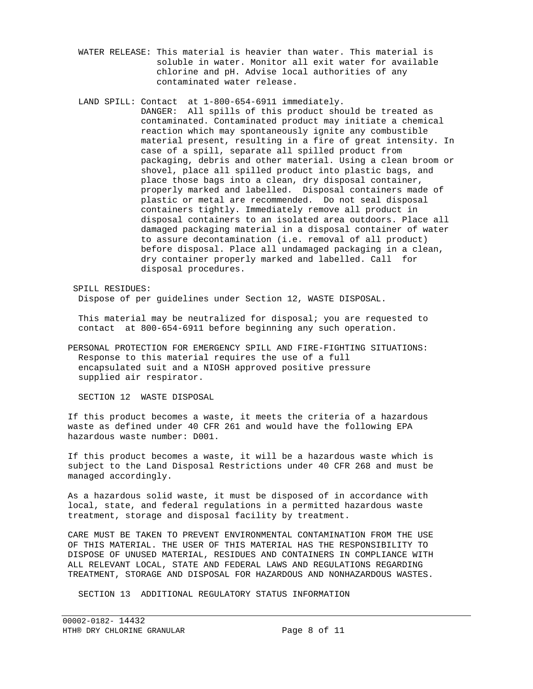WATER RELEASE: This material is heavier than water. This material is soluble in water. Monitor all exit water for available chlorine and pH. Advise local authorities of any contaminated water release.

 LAND SPILL: Contact at 1-800-654-6911 immediately. DANGER: All spills of this product should be treated as contaminated. Contaminated product may initiate a chemical reaction which may spontaneously ignite any combustible material present, resulting in a fire of great intensity. In case of a spill, separate all spilled product from packaging, debris and other material. Using a clean broom or shovel, place all spilled product into plastic bags, and place those bags into a clean, dry disposal container, properly marked and labelled. Disposal containers made of plastic or metal are recommended. Do not seal disposal containers tightly. Immediately remove all product in disposal containers to an isolated area outdoors. Place all damaged packaging material in a disposal container of water to assure decontamination (i.e. removal of all product) before disposal. Place all undamaged packaging in a clean, dry container properly marked and labelled. Call for disposal procedures.

 SPILL RESIDUES: Dispose of per guidelines under Section 12, WASTE DISPOSAL.

 This material may be neutralized for disposal; you are requested to contact at 800-654-6911 before beginning any such operation.

 PERSONAL PROTECTION FOR EMERGENCY SPILL AND FIRE-FIGHTING SITUATIONS: Response to this material requires the use of a full encapsulated suit and a NIOSH approved positive pressure supplied air respirator.

SECTION 12 WASTE DISPOSAL

 If this product becomes a waste, it meets the criteria of a hazardous waste as defined under 40 CFR 261 and would have the following EPA hazardous waste number: D001.

 If this product becomes a waste, it will be a hazardous waste which is subject to the Land Disposal Restrictions under 40 CFR 268 and must be managed accordingly.

 As a hazardous solid waste, it must be disposed of in accordance with local, state, and federal regulations in a permitted hazardous waste treatment, storage and disposal facility by treatment.

 CARE MUST BE TAKEN TO PREVENT ENVIRONMENTAL CONTAMINATION FROM THE USE OF THIS MATERIAL. THE USER OF THIS MATERIAL HAS THE RESPONSIBILITY TO DISPOSE OF UNUSED MATERIAL, RESIDUES AND CONTAINERS IN COMPLIANCE WITH ALL RELEVANT LOCAL, STATE AND FEDERAL LAWS AND REGULATIONS REGARDING TREATMENT, STORAGE AND DISPOSAL FOR HAZARDOUS AND NONHAZARDOUS WASTES.

SECTION 13 ADDITIONAL REGULATORY STATUS INFORMATION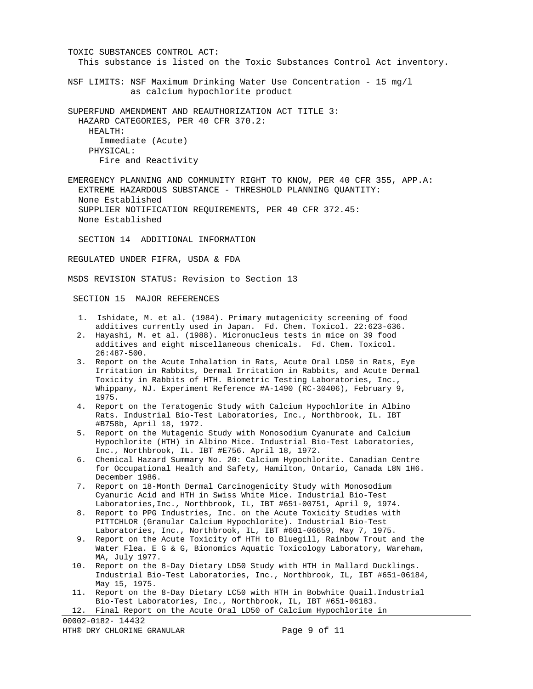TOXIC SUBSTANCES CONTROL ACT: This substance is listed on the Toxic Substances Control Act inventory. NSF LIMITS: NSF Maximum Drinking Water Use Concentration - 15 mg/l as calcium hypochlorite product SUPERFUND AMENDMENT AND REAUTHORIZATION ACT TITLE 3: HAZARD CATEGORIES, PER 40 CFR 370.2: HEALTH: Immediate (Acute) PHYSICAL: Fire and Reactivity EMERGENCY PLANNING AND COMMUNITY RIGHT TO KNOW, PER 40 CFR 355, APP.A: EXTREME HAZARDOUS SUBSTANCE - THRESHOLD PLANNING QUANTITY: None Established SUPPLIER NOTIFICATION REQUIREMENTS, PER 40 CFR 372.45: None Established SECTION 14 ADDITIONAL INFORMATION REGULATED UNDER FIFRA, USDA & FDA MSDS REVISION STATUS: Revision to Section 13 SECTION 15 MAJOR REFERENCES 1. Ishidate, M. et al. (1984). Primary mutagenicity screening of food additives currently used in Japan. Fd. Chem. Toxicol. 22:623-636. 2. Hayashi, M. et al. (1988). Micronucleus tests in mice on 39 food additives and eight miscellaneous chemicals. Fd. Chem. Toxicol. 26:487-500. 3. Report on the Acute Inhalation in Rats, Acute Oral LD50 in Rats, Eye Irritation in Rabbits, Dermal Irritation in Rabbits, and Acute Dermal Toxicity in Rabbits of HTH. Biometric Testing Laboratories, Inc., Whippany, NJ. Experiment Reference #A-1490 (RC-30406), February 9, 1975. 4. Report on the Teratogenic Study with Calcium Hypochlorite in Albino Rats. Industrial Bio-Test Laboratories, Inc., Northbrook, IL. IBT #B758b, April 18, 1972. 5. Report on the Mutagenic Study with Monosodium Cyanurate and Calcium Hypochlorite (HTH) in Albino Mice. Industrial Bio-Test Laboratories, Inc., Northbrook, IL. IBT #E756. April 18, 1972. 6. Chemical Hazard Summary No. 20: Calcium Hypochlorite. Canadian Centre for Occupational Health and Safety, Hamilton, Ontario, Canada L8N 1H6. December 1986. 7. Report on 18-Month Dermal Carcinogenicity Study with Monosodium Cyanuric Acid and HTH in Swiss White Mice. Industrial Bio-Test Laboratories,Inc., Northbrook, IL, IBT #651-00751, April 9, 1974. 8. Report to PPG Industries, Inc. on the Acute Toxicity Studies with PITTCHLOR (Granular Calcium Hypochlorite). Industrial Bio-Test Laboratories, Inc., Northbrook, IL, IBT #601-06659, May 7, 1975. 9. Report on the Acute Toxicity of HTH to Bluegill, Rainbow Trout and the Water Flea. E G & G, Bionomics Aquatic Toxicology Laboratory, Wareham, MA, July 1977. 10. Report on the 8-Day Dietary LD50 Study with HTH in Mallard Ducklings. Industrial Bio-Test Laboratories, Inc., Northbrook, IL, IBT #651-06184, May 15, 1975. 11. Report on the 8-Day Dietary LC50 with HTH in Bobwhite Quail.Industrial Bio-Test Laboratories, Inc., Northbrook, IL, IBT #651-06183. 12. Final Report on the Acute Oral LD50 of Calcium Hypochlorite in

00002-0182- 14432 HTH® DRY CHLORINE GRANULAR Page 9 of 11